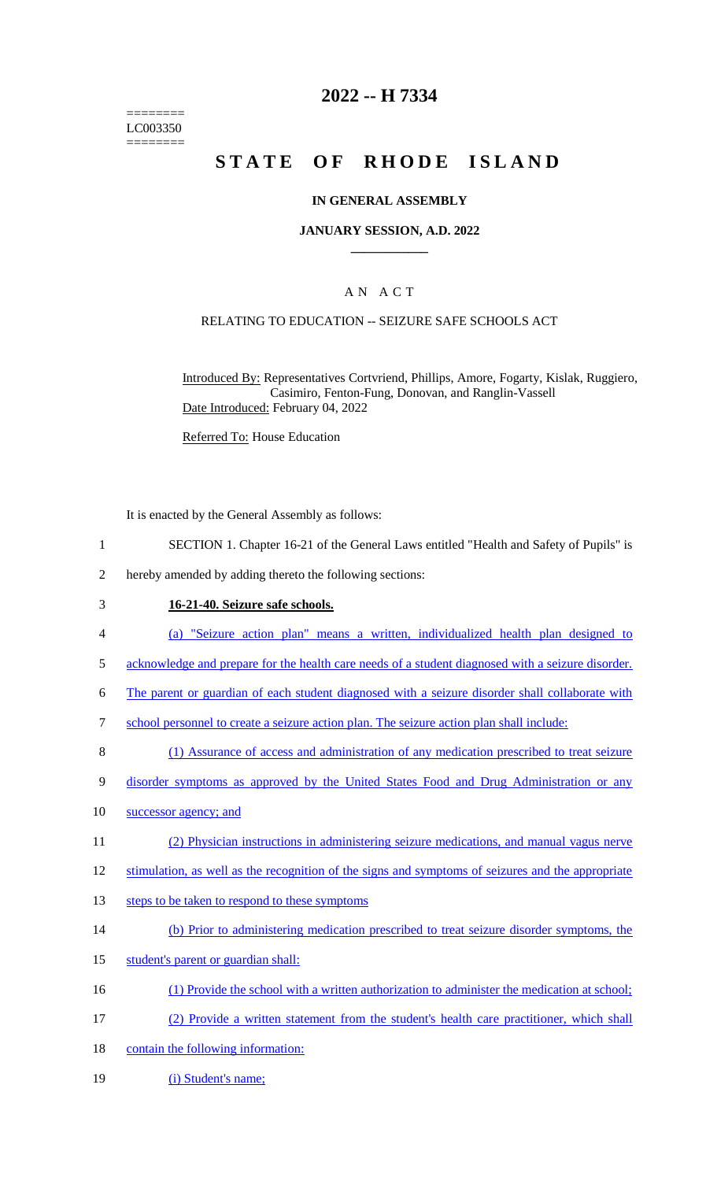======== LC003350 ========

# **2022 -- H 7334**

# **STATE OF RHODE ISLAND**

### **IN GENERAL ASSEMBLY**

#### **JANUARY SESSION, A.D. 2022 \_\_\_\_\_\_\_\_\_\_\_\_**

## A N A C T

### RELATING TO EDUCATION -- SEIZURE SAFE SCHOOLS ACT

Introduced By: Representatives Cortvriend, Phillips, Amore, Fogarty, Kislak, Ruggiero, Casimiro, Fenton-Fung, Donovan, and Ranglin-Vassell Date Introduced: February 04, 2022

Referred To: House Education

It is enacted by the General Assembly as follows:

- 1 SECTION 1. Chapter 16-21 of the General Laws entitled "Health and Safety of Pupils" is
- 2 hereby amended by adding thereto the following sections:

#### 3 **16-21-40. Seizure safe schools.**

- 4 (a) "Seizure action plan" means a written, individualized health plan designed to
- 5 acknowledge and prepare for the health care needs of a student diagnosed with a seizure disorder.
- 6 The parent or guardian of each student diagnosed with a seizure disorder shall collaborate with
- 7 school personnel to create a seizure action plan. The seizure action plan shall include:
- 8 (1) Assurance of access and administration of any medication prescribed to treat seizure
- 9 disorder symptoms as approved by the United States Food and Drug Administration or any

#### 10 successor agency; and

- 11 (2) Physician instructions in administering seizure medications, and manual vagus nerve
- 12 stimulation, as well as the recognition of the signs and symptoms of seizures and the appropriate
- 13 steps to be taken to respond to these symptoms
- 14 (b) Prior to administering medication prescribed to treat seizure disorder symptoms, the
- 15 student's parent or guardian shall:
- 16 (1) Provide the school with a written authorization to administer the medication at school;
- 17 (2) Provide a written statement from the student's health care practitioner, which shall
- 18 contain the following information:
- 19 (i) Student's name;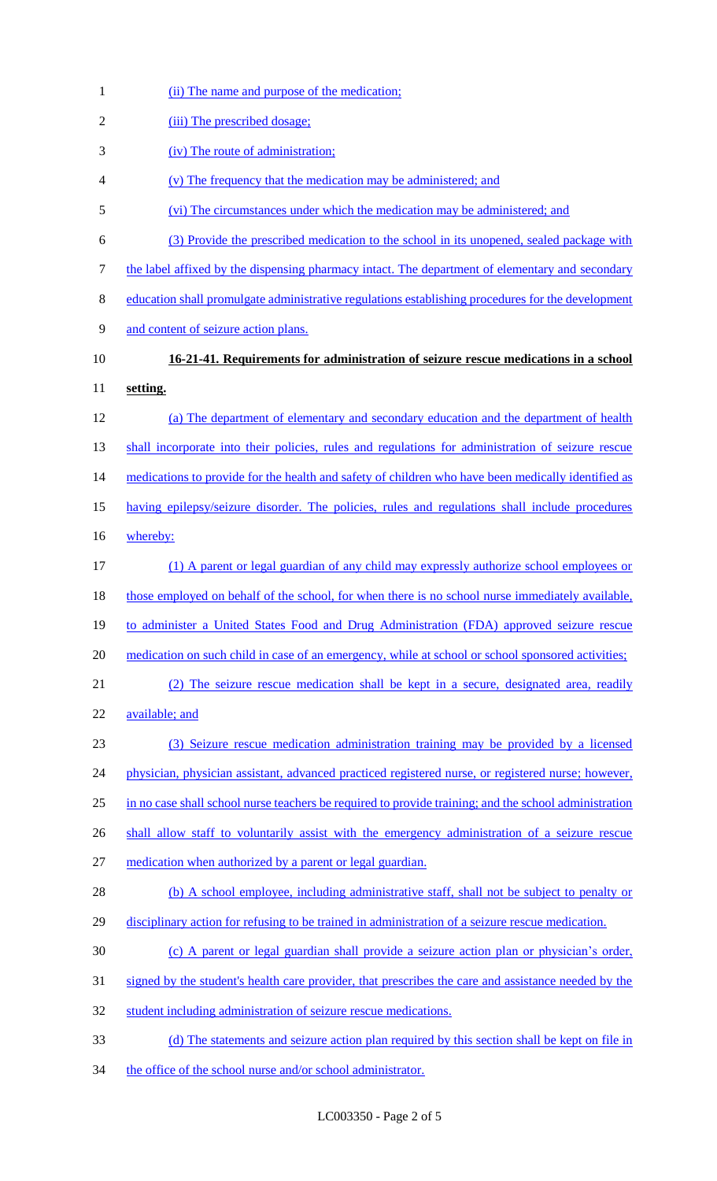| $\mathbf{1}$   | (ii) The name and purpose of the medication;                                                          |
|----------------|-------------------------------------------------------------------------------------------------------|
| $\mathfrak{2}$ | (iii) The prescribed dosage;                                                                          |
| 3              | (iv) The route of administration;                                                                     |
| 4              | (v) The frequency that the medication may be administered; and                                        |
| 5              | (vi) The circumstances under which the medication may be administered; and                            |
| 6              | (3) Provide the prescribed medication to the school in its unopened, sealed package with              |
| 7              | the label affixed by the dispensing pharmacy intact. The department of elementary and secondary       |
| 8              | education shall promulgate administrative regulations establishing procedures for the development     |
| 9              | and content of seizure action plans.                                                                  |
| 10             | 16-21-41. Requirements for administration of seizure rescue medications in a school                   |
| 11             | setting.                                                                                              |
| 12             | (a) The department of elementary and secondary education and the department of health                 |
| 13             | shall incorporate into their policies, rules and regulations for administration of seizure rescue     |
| 14             | medications to provide for the health and safety of children who have been medically identified as    |
| 15             | having epilepsy/seizure disorder. The policies, rules and regulations shall include procedures        |
| 16             | whereby:                                                                                              |
| 17             | (1) A parent or legal guardian of any child may expressly authorize school employees or               |
| 18             | those employed on behalf of the school, for when there is no school nurse immediately available,      |
| 19             | to administer a United States Food and Drug Administration (FDA) approved seizure rescue              |
| 20             | medication on such child in case of an emergency, while at school or school sponsored activities;     |
| 21             | (2) The seizure rescue medication shall be kept in a secure, designated area, readily                 |
| 22             | available; and                                                                                        |
| 23             | (3) Seizure rescue medication administration training may be provided by a licensed                   |
| 24             | physician, physician assistant, advanced practiced registered nurse, or registered nurse; however,    |
| 25             | in no case shall school nurse teachers be required to provide training; and the school administration |
| 26             | shall allow staff to voluntarily assist with the emergency administration of a seizure rescue         |
| 27             | medication when authorized by a parent or legal guardian.                                             |
| 28             | (b) A school employee, including administrative staff, shall not be subject to penalty or             |
| 29             | disciplinary action for refusing to be trained in administration of a seizure rescue medication.      |
| 30             | (c) A parent or legal guardian shall provide a seizure action plan or physician's order,              |
| 31             | signed by the student's health care provider, that prescribes the care and assistance needed by the   |
| 32             | student including administration of seizure rescue medications.                                       |
| 33             | (d) The statements and seizure action plan required by this section shall be kept on file in          |
| 34             | the office of the school nurse and/or school administrator.                                           |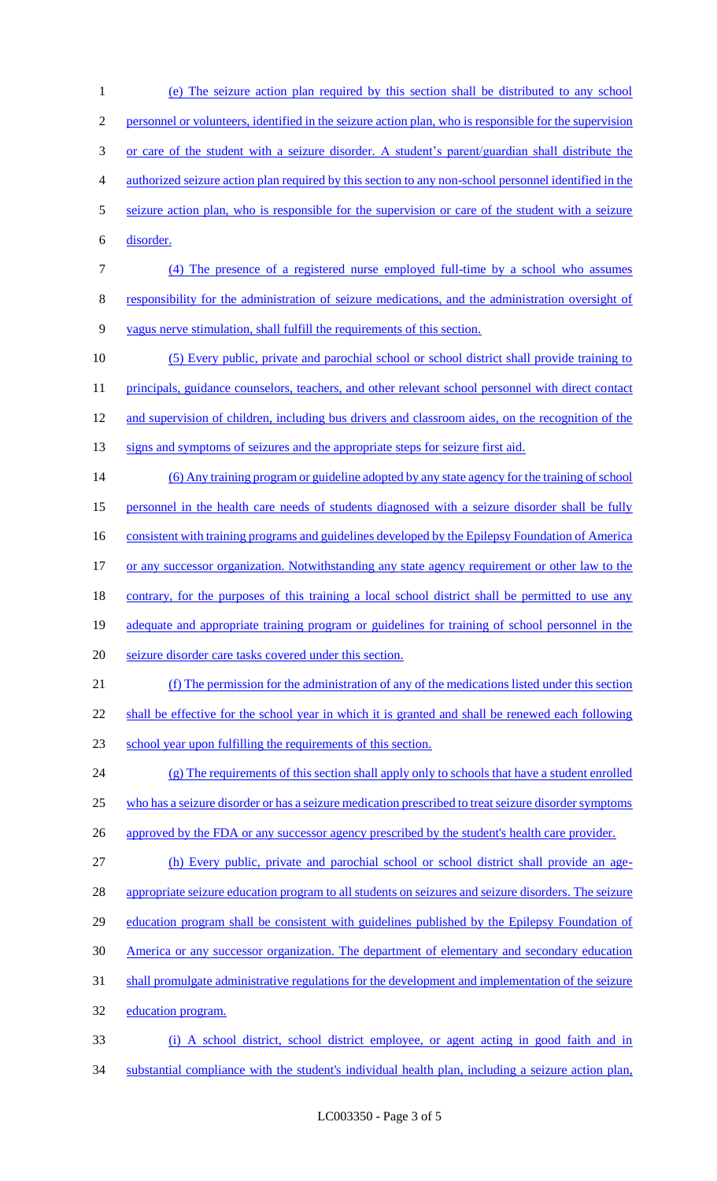(e) The seizure action plan required by this section shall be distributed to any school personnel or volunteers, identified in the seizure action plan, who is responsible for the supervision or care of the student with a seizure disorder. A student's parent/guardian shall distribute the authorized seizure action plan required by this section to any non-school personnel identified in the seizure action plan, who is responsible for the supervision or care of the student with a seizure disorder. (4) The presence of a registered nurse employed full-time by a school who assumes responsibility for the administration of seizure medications, and the administration oversight of vagus nerve stimulation, shall fulfill the requirements of this section. (5) Every public, private and parochial school or school district shall provide training to 11 principals, guidance counselors, teachers, and other relevant school personnel with direct contact 12 and supervision of children, including bus drivers and classroom aides, on the recognition of the signs and symptoms of seizures and the appropriate steps for seizure first aid. (6) Any training program or guideline adopted by any state agency for the training of school 15 personnel in the health care needs of students diagnosed with a seizure disorder shall be fully 16 consistent with training programs and guidelines developed by the Epilepsy Foundation of America 17 or any successor organization. Notwithstanding any state agency requirement or other law to the contrary, for the purposes of this training a local school district shall be permitted to use any 19 adequate and appropriate training program or guidelines for training of school personnel in the seizure disorder care tasks covered under this section. (f) The permission for the administration of any of the medications listed under this section 22 shall be effective for the school year in which it is granted and shall be renewed each following school year upon fulfilling the requirements of this section. (g) The requirements of this section shall apply only to schools that have a student enrolled who has a seizure disorder or has a seizure medication prescribed to treat seizure disorder symptoms 26 approved by the FDA or any successor agency prescribed by the student's health care provider. (h) Every public, private and parochial school or school district shall provide an age-28 appropriate seizure education program to all students on seizures and seizure disorders. The seizure education program shall be consistent with guidelines published by the Epilepsy Foundation of America or any successor organization. The department of elementary and secondary education shall promulgate administrative regulations for the development and implementation of the seizure education program. (i) A school district, school district employee, or agent acting in good faith and in substantial compliance with the student's individual health plan, including a seizure action plan,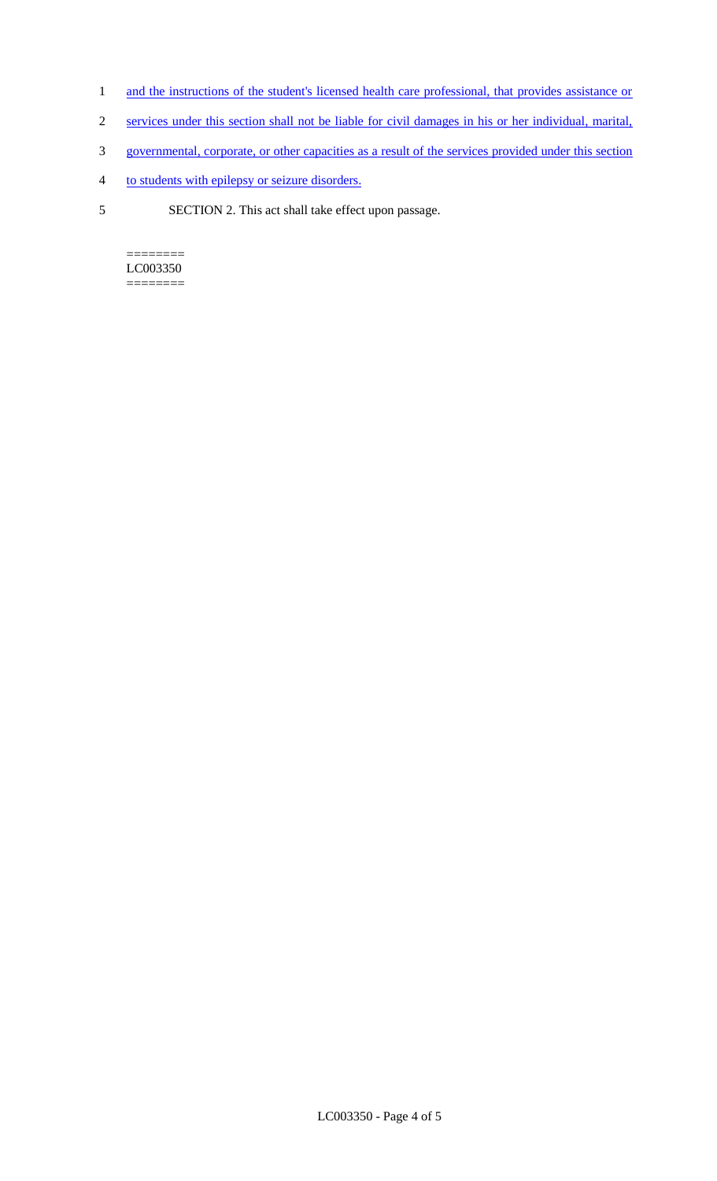- 1 and the instructions of the student's licensed health care professional, that provides assistance or
- 2 services under this section shall not be liable for civil damages in his or her individual, marital,
- 3 governmental, corporate, or other capacities as a result of the services provided under this section
- 4 to students with epilepsy or seizure disorders.
- 5 SECTION 2. This act shall take effect upon passage.

 $=$ LC003350 ========